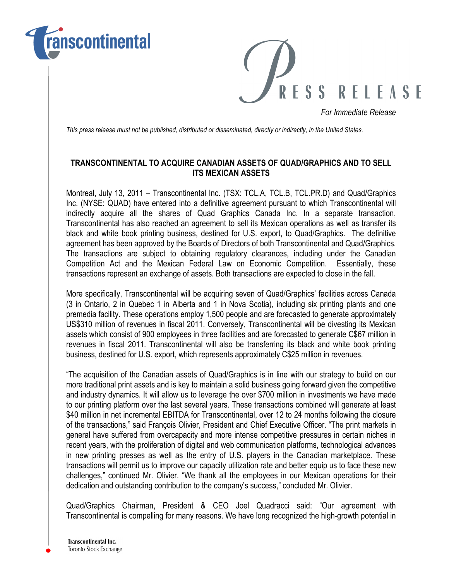



For Immediate Release

This press release must not be published, distributed or disseminated, directly or indirectly, in the United States.

# TRANSCONTINENTAL TO ACQUIRE CANADIAN ASSETS OF QUAD/GRAPHICS AND TO SELL ITS MEXICAN ASSETS

Montreal, July 13, 2011 – Transcontinental Inc. (TSX: TCL.A, TCL.B, TCL.PR.D) and Quad/Graphics Inc. (NYSE: QUAD) have entered into a definitive agreement pursuant to which Transcontinental will indirectly acquire all the shares of Quad Graphics Canada Inc. In a separate transaction, Transcontinental has also reached an agreement to sell its Mexican operations as well as transfer its black and white book printing business, destined for U.S. export, to Quad/Graphics. The definitive agreement has been approved by the Boards of Directors of both Transcontinental and Quad/Graphics. The transactions are subject to obtaining regulatory clearances, including under the Canadian Competition Act and the Mexican Federal Law on Economic Competition. Essentially, these transactions represent an exchange of assets. Both transactions are expected to close in the fall.

More specifically, Transcontinental will be acquiring seven of Quad/Graphics' facilities across Canada (3 in Ontario, 2 in Quebec 1 in Alberta and 1 in Nova Scotia), including six printing plants and one premedia facility. These operations employ 1,500 people and are forecasted to generate approximately US\$310 million of revenues in fiscal 2011. Conversely, Transcontinental will be divesting its Mexican assets which consist of 900 employees in three facilities and are forecasted to generate C\$67 million in revenues in fiscal 2011. Transcontinental will also be transferring its black and white book printing business, destined for U.S. export, which represents approximately C\$25 million in revenues.

"The acquisition of the Canadian assets of Quad/Graphics is in line with our strategy to build on our more traditional print assets and is key to maintain a solid business going forward given the competitive and industry dynamics. It will allow us to leverage the over \$700 million in investments we have made to our printing platform over the last several years. These transactions combined will generate at least \$40 million in net incremental EBITDA for Transcontinental, over 12 to 24 months following the closure of the transactions," said François Olivier, President and Chief Executive Officer. "The print markets in general have suffered from overcapacity and more intense competitive pressures in certain niches in recent years, with the proliferation of digital and web communication platforms, technological advances in new printing presses as well as the entry of U.S. players in the Canadian marketplace. These transactions will permit us to improve our capacity utilization rate and better equip us to face these new challenges," continued Mr. Olivier. "We thank all the employees in our Mexican operations for their dedication and outstanding contribution to the company's success," concluded Mr. Olivier.

Quad/Graphics Chairman, President & CEO Joel Quadracci said: "Our agreement with Transcontinental is compelling for many reasons. We have long recognized the high-growth potential in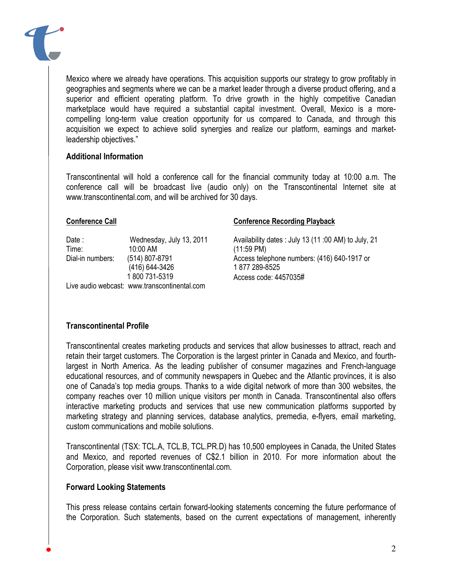

## Additional Information

Transcontinental will hold a conference call for the financial community today at 10:00 a.m. The conference call will be broadcast live (audio only) on the Transcontinental Internet site at www.transcontinental.com, and will be archived for 30 days.

#### Conference Call

Date : Wednesday, July 13, 2011 Time: 10:00 AM Dial-in numbers: (514) 807-8791 (416) 644-3426 1 800 731-5319 Live audio webcast: www.transcontinental.com

#### Conference Recording Playback

Availability dates : July 13 (11 :00 AM) to July, 21 (11:59 PM) Access telephone numbers: (416) 640-1917 or 1 877 289-8525 Access code: 4457035#

## Transcontinental Profile

Transcontinental creates marketing products and services that allow businesses to attract, reach and retain their target customers. The Corporation is the largest printer in Canada and Mexico, and fourthlargest in North America. As the leading publisher of consumer magazines and French-language educational resources, and of community newspapers in Quebec and the Atlantic provinces, it is also one of Canada's top media groups. Thanks to a wide digital network of more than 300 websites, the company reaches over 10 million unique visitors per month in Canada. Transcontinental also offers interactive marketing products and services that use new communication platforms supported by marketing strategy and planning services, database analytics, premedia, e-flyers, email marketing, custom communications and mobile solutions.

Transcontinental (TSX: TCL.A, TCL.B, TCL.PR.D) has 10,500 employees in Canada, the United States and Mexico, and reported revenues of C\$2.1 billion in 2010. For more information about the Corporation, please visit www.transcontinental.com.

## Forward Looking Statements

This press release contains certain forward-looking statements concerning the future performance of the Corporation. Such statements, based on the current expectations of management, inherently